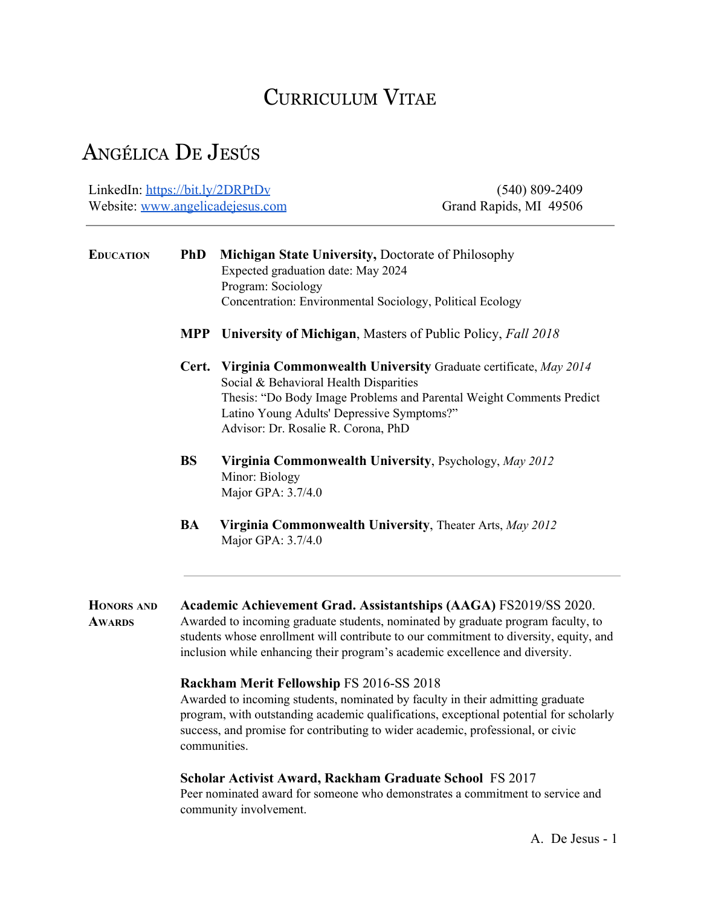# CURRICULUM VITAE

# ANGÉLICA D<sup>E</sup> JESÚS

LinkedIn: <https://bit.ly/2DRPtDv> Website: [www.angelicadejesus.com](http://www.angelicadejesus.com/)

(540) 809-2409 Grand Rapids, MI 49506

| <b>EDUCATION</b>                   | <b>PhD</b>                                                                                                                                                                                                                                                                                                                    | Michigan State University, Doctorate of Philosophy<br>Expected graduation date: May 2024<br>Program: Sociology<br>Concentration: Environmental Sociology, Political Ecology                                                                                            |  |  |
|------------------------------------|-------------------------------------------------------------------------------------------------------------------------------------------------------------------------------------------------------------------------------------------------------------------------------------------------------------------------------|------------------------------------------------------------------------------------------------------------------------------------------------------------------------------------------------------------------------------------------------------------------------|--|--|
|                                    | <b>MPP</b>                                                                                                                                                                                                                                                                                                                    | University of Michigan, Masters of Public Policy, Fall 2018                                                                                                                                                                                                            |  |  |
|                                    | Cert.                                                                                                                                                                                                                                                                                                                         | Virginia Commonwealth University Graduate certificate, May 2014<br>Social & Behavioral Health Disparities<br>Thesis: "Do Body Image Problems and Parental Weight Comments Predict<br>Latino Young Adults' Depressive Symptoms?"<br>Advisor: Dr. Rosalie R. Corona, PhD |  |  |
|                                    | <b>BS</b>                                                                                                                                                                                                                                                                                                                     | Virginia Commonwealth University, Psychology, May 2012<br>Minor: Biology<br>Major GPA: 3.7/4.0                                                                                                                                                                         |  |  |
|                                    | <b>BA</b>                                                                                                                                                                                                                                                                                                                     | Virginia Commonwealth University, Theater Arts, May 2012<br>Major GPA: 3.7/4.0                                                                                                                                                                                         |  |  |
| <b>HONORS AND</b><br><b>AWARDS</b> | Academic Achievement Grad. Assistantships (AAGA) FS2019/SS 2020.<br>Awarded to incoming graduate students, nominated by graduate program faculty, to<br>students whose enrollment will contribute to our commitment to diversity, equity, and<br>inclusion while enhancing their program's academic excellence and diversity. |                                                                                                                                                                                                                                                                        |  |  |
|                                    | Rackham Merit Fellowship FS 2016-SS 2018<br>Awarded to incoming students, nominated by faculty in their admitting graduate<br>program, with outstanding academic qualifications, exceptional potential for scholarly<br>success, and promise for contributing to wider academic, professional, or civic<br>communities.       |                                                                                                                                                                                                                                                                        |  |  |
|                                    | Scholar Activist Award, Rackham Graduate School FS 2017<br>Peer nominated award for someone who demonstrates a commitment to service and<br>community involvement.                                                                                                                                                            |                                                                                                                                                                                                                                                                        |  |  |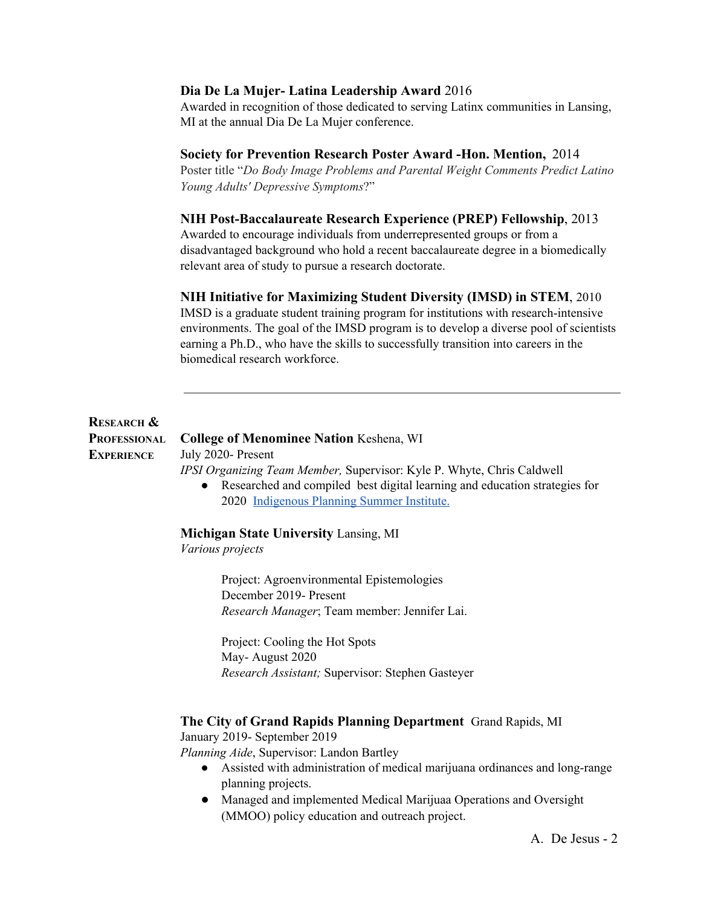# **Dia De La Mujer- Latina Leadership Award** 2016

Awarded in recognition of those dedicated to serving Latinx communities in Lansing, MI at the annual Dia De La Mujer conference.

# **Society for Prevention Research Poster Award -Hon. Mention,** 2014

Poster title "*Do Body Image Problems and Parental Weight Comments Predict Latino Young Adults' Depressive Symptoms*?"

# **NIH Post-Baccalaureate Research Experience (PREP) Fellowship**, 2013

Awarded to encourage individuals from underrepresented groups or from a disadvantaged background who hold a recent baccalaureate degree in a biomedically relevant area of study to pursue a research doctorate.

### **NIH Initiative for Maximizing Student Diversity (IMSD) in STEM**, 2010

IMSD is a graduate student training program for institutions with research-intensive environments. The goal of the IMSD program is to develop a diverse pool of scientists earning a Ph.D., who have the skills to successfully transition into careers in the biomedical research workforce.

# **RESEARCH & PROFESSIONAL EXPERIENCE**

**College of Menominee Nation** Keshena, WI July 2020- Present

*IPSI Organizing Team Member,* Supervisor: Kyle P. Whyte, Chris Caldwell

● Researched and compiled best digital learning and education strategies for 2020 [Indigenous](http://sustainabledevelopmentinstitute.org/indigenous-planning-summer-institute/) Planning Summer Institute.

# **Michigan State University** Lansing, MI

*Various projects*

Project: Agroenvironmental Epistemologies December 2019- Present *Research Manager*; Team member: Jennifer Lai.

Project: Cooling the Hot Spots May- August 2020 *Research Assistant;* Supervisor: Stephen Gasteyer

#### **The City of Grand Rapids Planning Department** Grand Rapids, MI

January 2019- September 2019

*Planning Aide*, Supervisor: Landon Bartley

- Assisted with administration of medical marijuana ordinances and long-range planning projects.
- Managed and implemented Medical Marijuaa Operations and Oversight (MMOO) policy education and outreach project.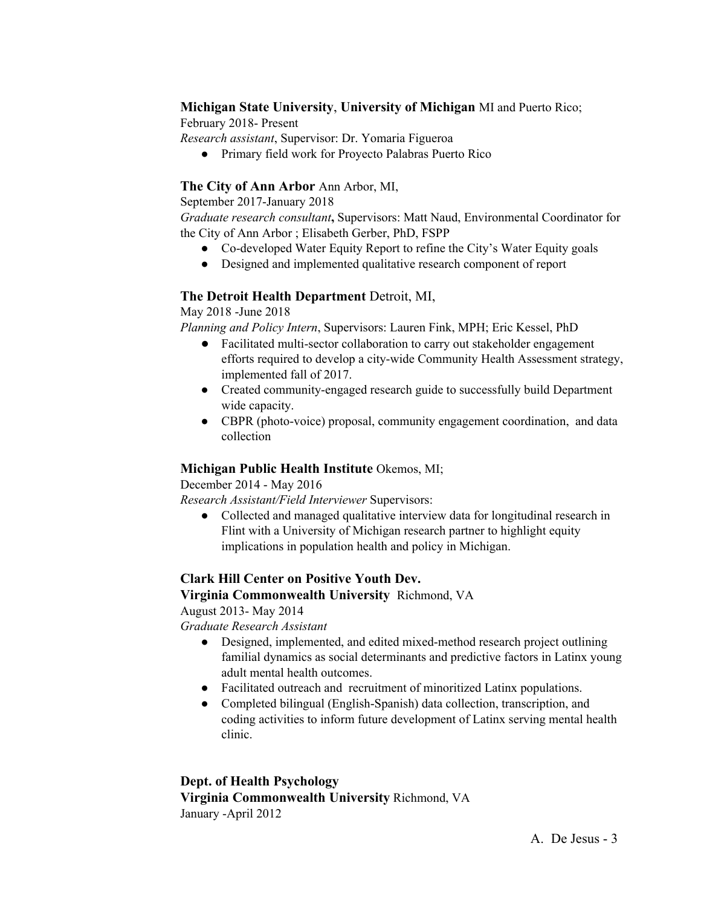# **Michigan State University**, **University of Michigan** MI and Puerto Rico;

February 2018- Present

*Research assistant*, Supervisor: Dr. Yomaria Figueroa

● Primary field work for Proyecto Palabras Puerto Rico

# **The City of Ann Arbor** Ann Arbor, MI,

September 2017-January 2018

*Graduate research consultant***,** Supervisors: Matt Naud, Environmental Coordinator for the City of Ann Arbor ; Elisabeth Gerber, PhD, FSPP

- Co-developed Water Equity Report to refine the City's Water Equity goals
- Designed and implemented qualitative research component of report

# **The Detroit Health Department** Detroit, MI,

May 2018 -June 2018

*Planning and Policy Intern*, Supervisors: Lauren Fink, MPH; Eric Kessel, PhD

- Facilitated multi-sector collaboration to carry out stakeholder engagement efforts required to develop a city-wide Community Health Assessment strategy, implemented fall of 2017.
- Created community-engaged research guide to successfully build Department wide capacity.
- CBPR (photo-voice) proposal, community engagement coordination, and data collection

# **Michigan Public Health Institute** Okemos, MI;

December 2014 - May 2016

*Research Assistant/Field Interviewer* Supervisors:

• Collected and managed qualitative interview data for longitudinal research in Flint with a University of Michigan research partner to highlight equity implications in population health and policy in Michigan.

# **Clark Hill Center on Positive Youth Dev.**

# **Virginia Commonwealth University** Richmond, VA

August 2013- May 2014

*Graduate Research Assistant*

- Designed, implemented, and edited mixed-method research project outlining familial dynamics as social determinants and predictive factors in Latinx young adult mental health outcomes.
- Facilitated outreach and recruitment of minoritized Latinx populations.
- Completed bilingual (English-Spanish) data collection, transcription, and coding activities to inform future development of Latinx serving mental health clinic.

**Dept. of Health Psychology Virginia Commonwealth University** Richmond, VA January -April 2012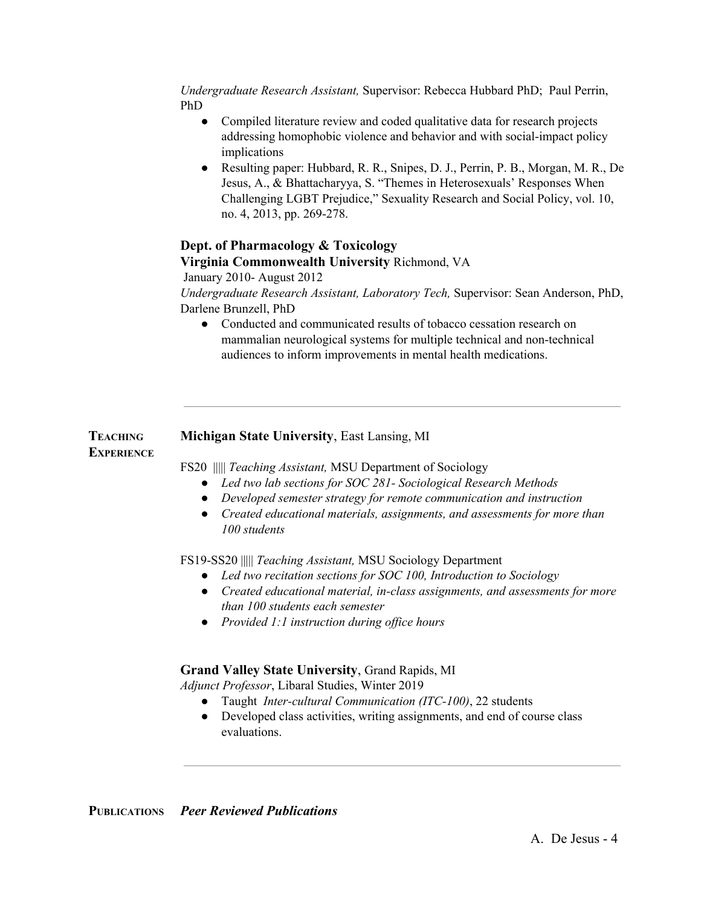*Undergraduate Research Assistant,* Supervisor: Rebecca Hubbard PhD; Paul Perrin, PhD

- Compiled literature review and coded qualitative data for research projects addressing homophobic violence and behavior and with social-impact policy implications
- Resulting paper: Hubbard, R. R., Snipes, D. J., Perrin, P. B., Morgan, M. R., De Jesus, A., & Bhattacharyya, S. "Themes in Heterosexuals' Responses When Challenging LGBT Prejudice," Sexuality Research and Social Policy, vol. 10, no. 4, 2013, pp. 269-278.

# **Dept. of Pharmacology & Toxicology**

**Virginia Commonwealth University** Richmond, VA

January 2010- August 2012

*Undergraduate Research Assistant, Laboratory Tech,* Supervisor: Sean Anderson, PhD, Darlene Brunzell, PhD

• Conducted and communicated results of tobacco cessation research on mammalian neurological systems for multiple technical and non-technical audiences to inform improvements in mental health medications.

#### **TEACHING Michigan State University**, East Lansing, MI

# **EXPERIENCE**

FS20 ||||| *Teaching Assistant,* MSU Department of Sociology

- *● Led two lab sections for SOC 281- Sociological Research Methods*
- *● Developed semester strategy for remote communication and instruction*
- *● Created educational materials, assignments, and assessments for more than 100 students*

FS19-SS20 ||||| *Teaching Assistant,* MSU Sociology Department

- *● Led two recitation sections for SOC 100, Introduction to Sociology*
- *● Created educational material, in-class assignments, and assessments for more than 100 students each semester*
- *● Provided 1:1 instruction during of ice hours*

# **Grand Valley State University**, Grand Rapids, MI

*Adjunct Professor*, Libaral Studies, Winter 2019

- Taught *Inter-cultural Communication (ITC-100)*, 22 students
- Developed class activities, writing assignments, and end of course class evaluations.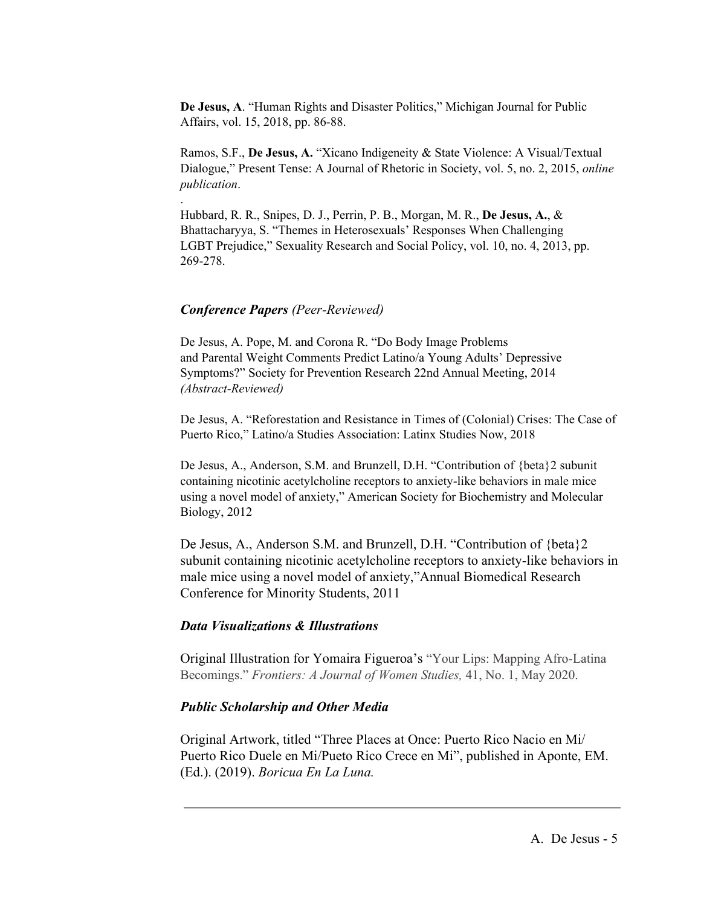**De Jesus, A**. "Human Rights and Disaster Politics," Michigan Journal for Public Affairs, vol. 15, 2018, pp. 86-88.

Ramos, S.F., **De Jesus, A.** "Xicano Indigeneity & State Violence: A Visual/Textual Dialogue," Present Tense: A Journal of Rhetoric in Society, vol. 5, no. 2, 2015, *online publication*.

Hubbard, R. R., Snipes, D. J., Perrin, P. B., Morgan, M. R., **De Jesus, A.**, & Bhattacharyya, S. "Themes in Heterosexuals' Responses When Challenging LGBT Prejudice," Sexuality Research and Social Policy, vol. 10, no. 4, 2013, pp. 269-278.

#### *Conference Papers (Peer-Reviewed)*

.

De Jesus, A. Pope, M. and Corona R. "Do Body Image Problems and Parental Weight Comments Predict Latino/a Young Adults' Depressive Symptoms?" Society for Prevention Research 22nd Annual Meeting, 2014 *(Abstract-Reviewed)*

De Jesus, A. "Reforestation and Resistance in Times of (Colonial) Crises: The Case of Puerto Rico," Latino/a Studies Association: Latinx Studies Now, 2018

De Jesus, A., Anderson, S.M. and Brunzell, D.H. "Contribution of {beta}2 subunit containing nicotinic acetylcholine receptors to anxiety-like behaviors in male mice using a novel model of anxiety," American Society for Biochemistry and Molecular Biology, 2012

De Jesus, A., Anderson S.M. and Brunzell, D.H. "Contribution of {beta}2 subunit containing nicotinic acetylcholine receptors to anxiety-like behaviors in male mice using a novel model of anxiety,"Annual Biomedical Research Conference for Minority Students, 2011

### *Data Visualizations & Illustrations*

Original Illustration for Yomaira Figueroa's "Your Lips: Mapping Afro-Latina Becomings." *Frontiers: A Journal of Women Studies,* 41, No. 1, May 2020.

#### *Public Scholarship and Other Media*

Original Artwork, titled "Three Places at Once: Puerto Rico Nacio en Mi/ Puerto Rico Duele en Mi/Pueto Rico Crece en Mi", published in Aponte, EM. (Ed.). (2019). *Boricua En La Luna.*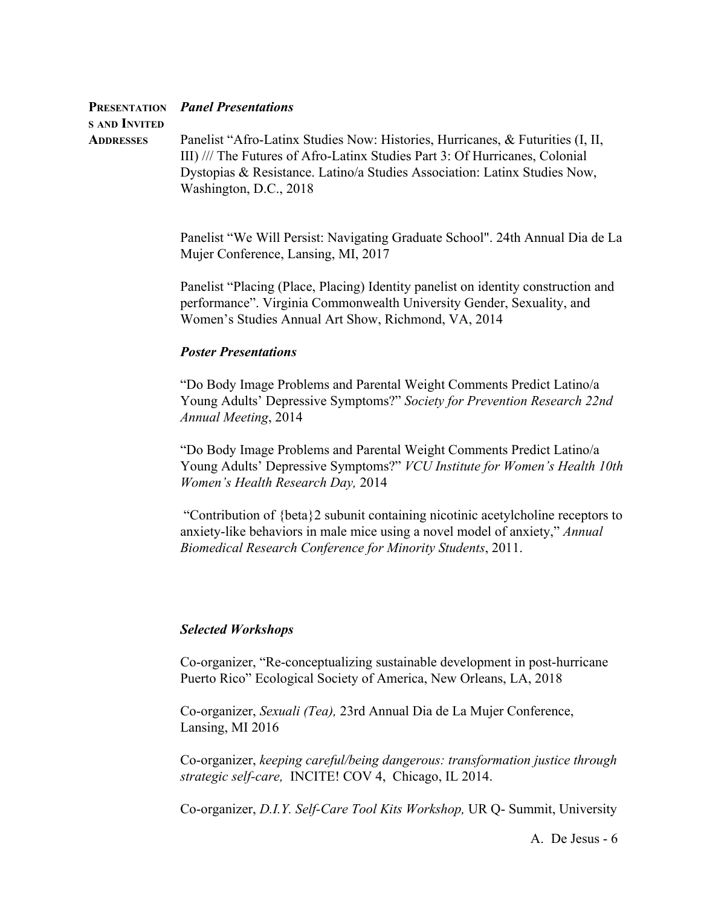| s and Invited | <b>PRESENTATION</b> Panel Presentations                                        |
|---------------|--------------------------------------------------------------------------------|
|               | Panelist "Afro-Latinx Studies Now: Histories, Hurricanes, & Futurities (I, II, |
| ADDRESSES     |                                                                                |
|               | III) /// The Futures of Afro-Latinx Studies Part 3: Of Hurricanes, Colonial    |
|               | Dystopias & Resistance. Latino/a Studies Association: Latinx Studies Now,      |
|               | Washington, D.C., 2018                                                         |

Panelist "We Will Persist: Navigating Graduate School". 24th Annual Dia de La Mujer Conference, Lansing, MI, 2017

Panelist "Placing (Place, Placing) Identity panelist on identity construction and performance". Virginia Commonwealth University Gender, Sexuality, and Women's Studies Annual Art Show, Richmond, VA, 2014

### *Poster Presentations*

"Do Body Image Problems and Parental Weight Comments Predict Latino/a Young Adults' Depressive Symptoms?" *Society for Prevention Research 22nd Annual Meeting*, 2014

"Do Body Image Problems and Parental Weight Comments Predict Latino/a Young Adults' Depressive Symptoms?" *VCU Institute for Women's Health 10th Women's Health Research Day,* 2014

 "Contribution of {beta}2 subunit containing nicotinic acetylcholine receptors to anxiety-like behaviors in male mice using a novel model of anxiety," *Annual Biomedical Research Conference for Minority Students*, 2011.

# *Selected Workshops*

Co-organizer, "Re-conceptualizing sustainable development in post-hurricane Puerto Rico" Ecological Society of America, New Orleans, LA, 2018

Co-organizer, *Sexuali (Tea),* 23rd Annual Dia de La Mujer Conference, Lansing, MI 2016

Co-organizer, *keeping careful/being dangerous: transformation justice through strategic self-care,* INCITE! COV 4, Chicago, IL 2014.

Co-organizer, *D.I.Y. Self-Care Tool Kits Workshop,* UR Q- Summit, University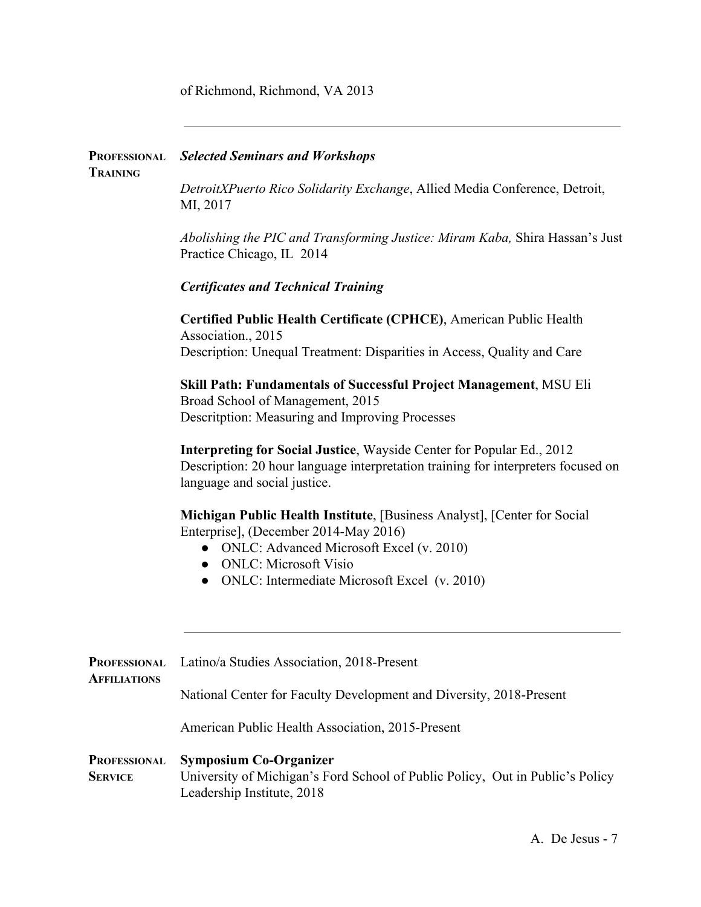of Richmond, Richmond, VA 2013

| <b>TRAINING</b>                            | <b>PROFESSIONAL</b> Selected Seminars and Workshops                                                                                                                                                                                                                                                                               |                                                                                                                                                                                                                                                                                             |  |                                                                                                                                                                                            |
|--------------------------------------------|-----------------------------------------------------------------------------------------------------------------------------------------------------------------------------------------------------------------------------------------------------------------------------------------------------------------------------------|---------------------------------------------------------------------------------------------------------------------------------------------------------------------------------------------------------------------------------------------------------------------------------------------|--|--------------------------------------------------------------------------------------------------------------------------------------------------------------------------------------------|
|                                            | DetroitXPuerto Rico Solidarity Exchange, Allied Media Conference, Detroit,<br>MI, 2017<br>Abolishing the PIC and Transforming Justice: Miram Kaba, Shira Hassan's Just<br>Practice Chicago, IL 2014<br><b>Certificates and Technical Training</b>                                                                                 |                                                                                                                                                                                                                                                                                             |  |                                                                                                                                                                                            |
|                                            |                                                                                                                                                                                                                                                                                                                                   |                                                                                                                                                                                                                                                                                             |  |                                                                                                                                                                                            |
|                                            |                                                                                                                                                                                                                                                                                                                                   |                                                                                                                                                                                                                                                                                             |  |                                                                                                                                                                                            |
|                                            | Certified Public Health Certificate (CPHCE), American Public Health<br>Association., 2015<br>Description: Unequal Treatment: Disparities in Access, Quality and Care<br>Skill Path: Fundamentals of Successful Project Management, MSU Eli<br>Broad School of Management, 2015<br>Descritption: Measuring and Improving Processes |                                                                                                                                                                                                                                                                                             |  |                                                                                                                                                                                            |
|                                            |                                                                                                                                                                                                                                                                                                                                   |                                                                                                                                                                                                                                                                                             |  | Interpreting for Social Justice, Wayside Center for Popular Ed., 2012<br>Description: 20 hour language interpretation training for interpreters focused on<br>language and social justice. |
|                                            |                                                                                                                                                                                                                                                                                                                                   | Michigan Public Health Institute, [Business Analyst], [Center for Social<br>Enterprise], (December 2014-May 2016)<br><b>ONLC:</b> Advanced Microsoft Excel (v. 2010)<br>$\bullet$<br><b>ONLC: Microsoft Visio</b><br>$\bullet$<br>ONLC: Intermediate Microsoft Excel (v. 2010)<br>$\bullet$ |  |                                                                                                                                                                                            |
| <b>PROFESSIONAL</b><br><b>AFFILIATIONS</b> | Latino/a Studies Association, 2018-Present                                                                                                                                                                                                                                                                                        |                                                                                                                                                                                                                                                                                             |  |                                                                                                                                                                                            |
|                                            | National Center for Faculty Development and Diversity, 2018-Present                                                                                                                                                                                                                                                               |                                                                                                                                                                                                                                                                                             |  |                                                                                                                                                                                            |
|                                            | American Public Health Association, 2015-Present                                                                                                                                                                                                                                                                                  |                                                                                                                                                                                                                                                                                             |  |                                                                                                                                                                                            |
| <b>PROFESSIONAL</b><br><b>SERVICE</b>      | <b>Symposium Co-Organizer</b><br>University of Michigan's Ford School of Public Policy, Out in Public's Policy<br>Leadership Institute, 2018                                                                                                                                                                                      |                                                                                                                                                                                                                                                                                             |  |                                                                                                                                                                                            |